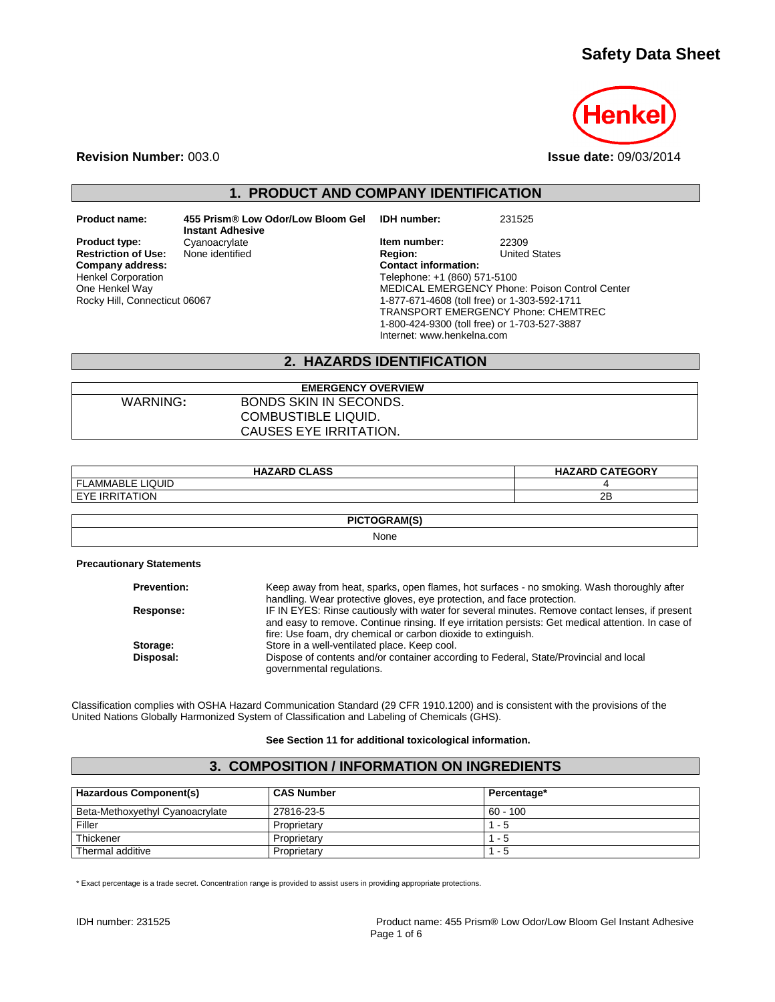# **Safety Data Sheet**



**Revision Number:** 003.0 **Issue date:** 09/03/2014

# **1. PRODUCT AND COMPANY IDENTIFICATION**

**Restriction of Use:**<br>Company address: Henkel Corporation One Henkel Way Rocky Hill, Connecticut 06067

**Product name: 455 Prism® Low Odor/Low Bloom Gel Instant Adhesive**

**IDH number:** 231525

**Product type:** Cyanoacrylate **Item number:** 22309<br> **Restriction of Use:** None identified **Integral Product Product** Region: United States **Company address: Contact information:** Telephone: +1 (860) 571-5100 MEDICAL EMERGENCY Phone: Poison Control Center 1-877-671-4608 (toll free) or 1-303-592-1711 TRANSPORT EMERGENCY Phone: CHEMTREC 1-800-424-9300 (toll free) or 1-703-527-3887 Internet: www.henkelna.com

### **2. HAZARDS IDENTIFICATION**

| <b>EMERGENCY OVERVIEW</b> |                               |  |
|---------------------------|-------------------------------|--|
| WARNING:                  | <b>BONDS SKIN IN SECONDS.</b> |  |
|                           | COMBUSTIBLE LIQUID.           |  |
|                           | CAUSES EYE IRRITATION.        |  |

| <b>HAZARD CLASS</b> | <b>HAZARD CATEGORY</b> |  |  |
|---------------------|------------------------|--|--|
| I FLAMMABLE LIQUID  |                        |  |  |
| I EYE IRRITATION    | 2B                     |  |  |
|                     |                        |  |  |
| PICTOGRAM(S)        |                        |  |  |
| . .                 |                        |  |  |

None

**Precautionary Statements**

| <b>Prevention:</b> | Keep away from heat, sparks, open flames, hot surfaces - no smoking. Wash thoroughly after          |
|--------------------|-----------------------------------------------------------------------------------------------------|
|                    | handling. Wear protective gloves, eye protection, and face protection.                              |
| <b>Response:</b>   | IF IN EYES: Rinse cautiously with water for several minutes. Remove contact lenses, if present      |
|                    | and easy to remove. Continue rinsing. If eye irritation persists: Get medical attention. In case of |
|                    | fire: Use foam, dry chemical or carbon dioxide to extinguish.                                       |
| Storage:           | Store in a well-ventilated place. Keep cool.                                                        |
| Disposal:          | Dispose of contents and/or container according to Federal, State/Provincial and local               |
|                    | governmental regulations.                                                                           |

Classification complies with OSHA Hazard Communication Standard (29 CFR 1910.1200) and is consistent with the provisions of the United Nations Globally Harmonized System of Classification and Labeling of Chemicals (GHS).

#### **See Section 11 for additional toxicological information.**

### **3. COMPOSITION / INFORMATION ON INGREDIENTS**

| <b>Hazardous Component(s)</b>   | <b>CAS Number</b> | Percentage* |
|---------------------------------|-------------------|-------------|
| Beta-Methoxyethyl Cyanoacrylate | 27816-23-5        | $60 - 100$  |
| Filler                          | Proprietary       | $1 - 5$     |
| Thickener                       | Proprietary       | 1 - 5       |
| Thermal additive                | Proprietary       | - 5         |

\* Exact percentage is a trade secret. Concentration range is provided to assist users in providing appropriate protections.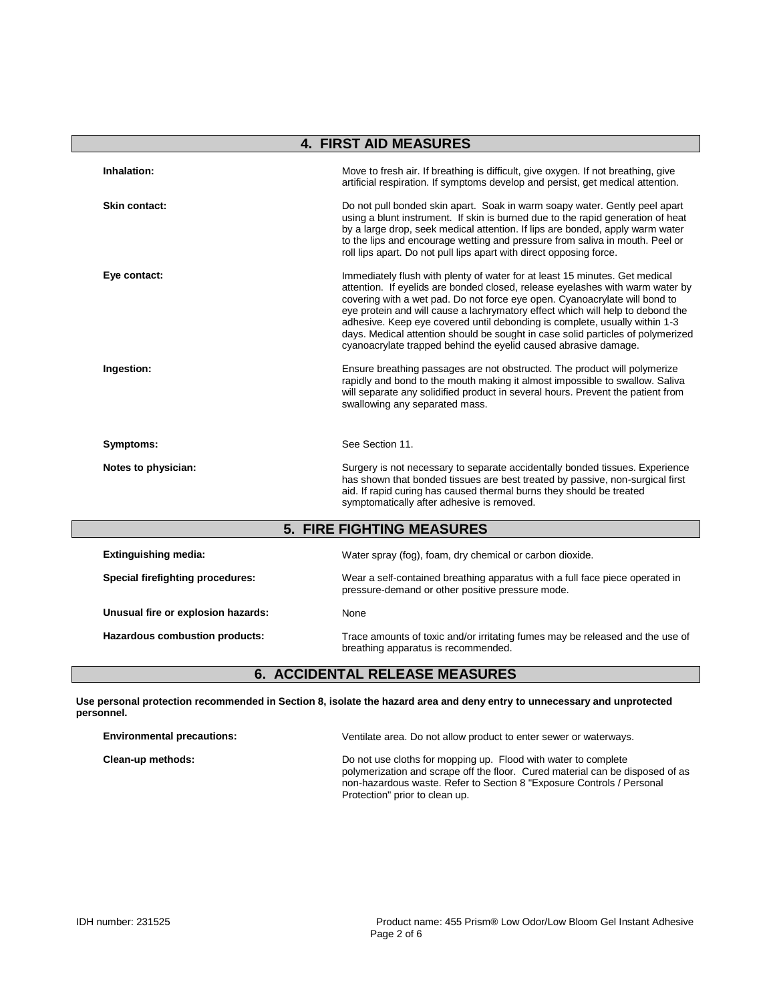|                                    | <b>4. FIRST AID MEASURES</b>                                                                                                                                                                                                                                                                                                                                                                                                                                                                                                                                     |
|------------------------------------|------------------------------------------------------------------------------------------------------------------------------------------------------------------------------------------------------------------------------------------------------------------------------------------------------------------------------------------------------------------------------------------------------------------------------------------------------------------------------------------------------------------------------------------------------------------|
| Inhalation:                        | Move to fresh air. If breathing is difficult, give oxygen. If not breathing, give<br>artificial respiration. If symptoms develop and persist, get medical attention.                                                                                                                                                                                                                                                                                                                                                                                             |
| Skin contact:                      | Do not pull bonded skin apart. Soak in warm soapy water. Gently peel apart<br>using a blunt instrument. If skin is burned due to the rapid generation of heat<br>by a large drop, seek medical attention. If lips are bonded, apply warm water<br>to the lips and encourage wetting and pressure from saliva in mouth. Peel or<br>roll lips apart. Do not pull lips apart with direct opposing force.                                                                                                                                                            |
| Eye contact:                       | Immediately flush with plenty of water for at least 15 minutes. Get medical<br>attention. If eyelids are bonded closed, release eyelashes with warm water by<br>covering with a wet pad. Do not force eye open. Cyanoacrylate will bond to<br>eye protein and will cause a lachrymatory effect which will help to debond the<br>adhesive. Keep eye covered until debonding is complete, usually within 1-3<br>days. Medical attention should be sought in case solid particles of polymerized<br>cyanoacrylate trapped behind the eyelid caused abrasive damage. |
| Ingestion:                         | Ensure breathing passages are not obstructed. The product will polymerize<br>rapidly and bond to the mouth making it almost impossible to swallow. Saliva<br>will separate any solidified product in several hours. Prevent the patient from<br>swallowing any separated mass.                                                                                                                                                                                                                                                                                   |
| Symptoms:                          | See Section 11.                                                                                                                                                                                                                                                                                                                                                                                                                                                                                                                                                  |
| Notes to physician:                | Surgery is not necessary to separate accidentally bonded tissues. Experience<br>has shown that bonded tissues are best treated by passive, non-surgical first<br>aid. If rapid curing has caused thermal burns they should be treated<br>symptomatically after adhesive is removed.                                                                                                                                                                                                                                                                              |
|                                    | <b>5. FIRE FIGHTING MEASURES</b>                                                                                                                                                                                                                                                                                                                                                                                                                                                                                                                                 |
| <b>Extinguishing media:</b>        | Water spray (fog), foam, dry chemical or carbon dioxide.                                                                                                                                                                                                                                                                                                                                                                                                                                                                                                         |
| Special firefighting procedures:   | Wear a self-contained breathing apparatus with a full face piece operated in<br>pressure-demand or other positive pressure mode.                                                                                                                                                                                                                                                                                                                                                                                                                                 |
| Unusual fire or explosion hazards: | None                                                                                                                                                                                                                                                                                                                                                                                                                                                                                                                                                             |
| Hazardous combustion products:     | Trace amounts of toxic and/or irritating fumes may be released and the use of<br>breathing apparatus is recommended.                                                                                                                                                                                                                                                                                                                                                                                                                                             |

# **6. ACCIDENTAL RELEASE MEASURES**

**Use personal protection recommended in Section 8, isolate the hazard area and deny entry to unnecessary and unprotected personnel.**

| <b>Environmental precautions:</b> | Ventilate area. Do not allow product to enter sewer or waterways.                                                                                                                                                                                          |
|-----------------------------------|------------------------------------------------------------------------------------------------------------------------------------------------------------------------------------------------------------------------------------------------------------|
| Clean-up methods:                 | Do not use cloths for mopping up. Flood with water to complete<br>polymerization and scrape off the floor. Cured material can be disposed of as<br>non-hazardous waste. Refer to Section 8 "Exposure Controls / Personal<br>Protection" prior to clean up. |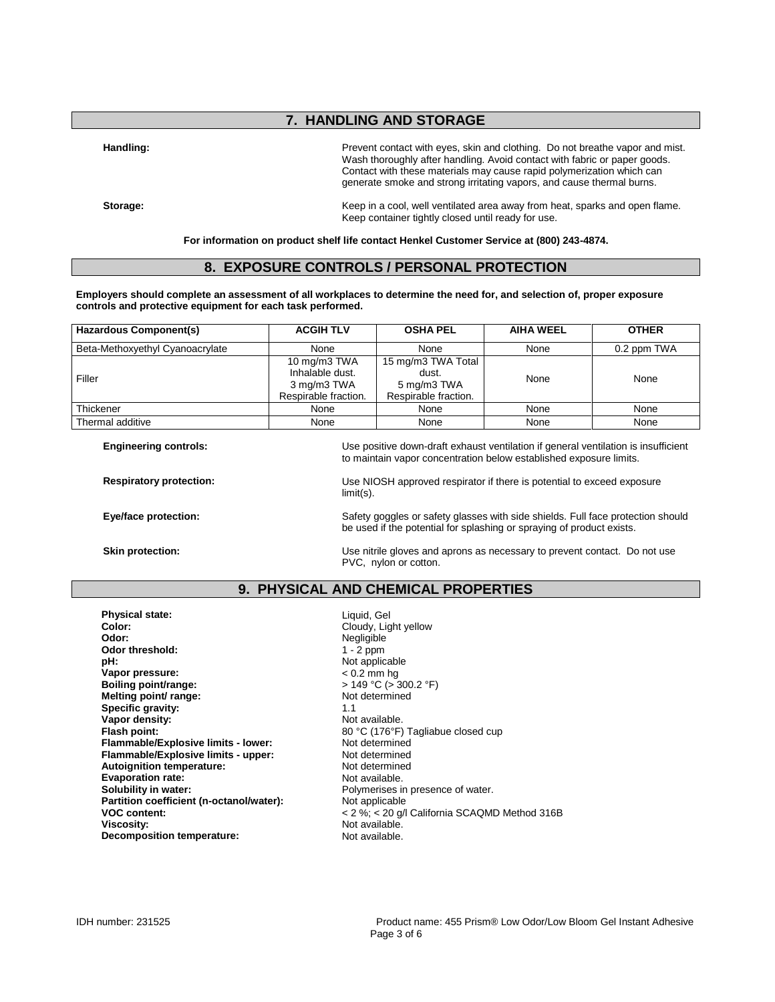## **7. HANDLING AND STORAGE**

Handling: **Handling: Prevent contact with eyes**, skin and clothing. Do not breathe vapor and mist. Wash thoroughly after handling. Avoid contact with fabric or paper goods. Contact with these materials may cause rapid polymerization which can generate smoke and strong irritating vapors, and cause thermal burns.

Storage: **Keep in a cool, well ventilated area away from heat, sparks and open flame.** Keep container tightly closed until ready for use.

**For information on product shelf life contact Henkel Customer Service at (800) 243-4874.**

#### **8. EXPOSURE CONTROLS / PERSONAL PROTECTION**

**Employers should complete an assessment of all workplaces to determine the need for, and selection of, proper exposure controls and protective equipment for each task performed.**

| Hazardous Component(s)          | <b>ACGIH TLV</b>                                                       | <b>OSHA PEL</b>                                                    | <b>AIHA WEEL</b> | <b>OTHER</b> |
|---------------------------------|------------------------------------------------------------------------|--------------------------------------------------------------------|------------------|--------------|
| Beta-Methoxyethyl Cyanoacrylate | None                                                                   | None                                                               | None             | 0.2 ppm TWA  |
| Filler                          | 10 mg/m3 TWA<br>Inhalable dust.<br>3 mg/m3 TWA<br>Respirable fraction. | 15 mg/m3 TWA Total<br>dust.<br>5 mg/m3 TWA<br>Respirable fraction. | None             | None         |
| Thickener                       | None                                                                   | None                                                               | None             | None         |
| Thermal additive                | None                                                                   | None                                                               | None             | None         |

**Engineering controls:** Use positive down-draft exhaust ventilation if general ventilation is insufficient to maintain vapor concentration below established exposure limits.

**Respiratory protection:** Use NIOSH approved respirator if there is potential to exceed exposure limit(s).

**Eye/face protection:** Safety goggles or safety glasses with side shields. Full face protection should Safety and Safety goggles or safety glasses with side shields. Full face protection should

be used if the potential for splashing or spraying of product exists. **Skin protection:** Use nitrile gloves and aprons as necessary to prevent contact. Do not use

#### **9. PHYSICAL AND CHEMICAL PROPERTIES**

PVC, nylon or cotton.

**Physical state:** Liquid, Gel<br> **Color:** Cloudy. Lic **Color:** Color: Color: Cloudy, Light yellow<br> **Color:** Color: Color: Color: Color: Color: Color: Color: Color: Color: Color: Color: Color: Color: Color: Color: Color: Color: Color: Color: Color: Color: Color: Color: Color: Odor threshold:<br>pH: **Vapor pressure:** < 0.2 mm hg **Boiling point/range:**  $\rightarrow$  149 °C (> 300.<br> **Melting point/ range:** Not determined **Melting point/ range: Specific gravity:**  $\begin{array}{ccc} 1.1 & 1.1 \\ \hline \end{array}$  **Specific gravity:**  $\begin{array}{ccc} 1.1 & 1.1 \\ \hline \end{array}$  Not available. Vapor density:<br>Flash point: **Flammable/Explosive limits - lower:** Not determined<br> **Flammable/Explosive limits - upper:** Not determined **Flammable/Explosive limits - upper:** Not determined<br> **Autoignition temperature:** Not determined **Autoignition temperature:** Not determine<br> **Evaporation rate:** Not available. **Evaporation rate:**<br>Solubility in water: Partition coefficient (n-octanol/water):<br>VOC content: **Decomposition temperature:** 

Negligible<br>1 - 2 ppm Not applicable 80 °C (176°F) Tagliabue closed cup<br>Not determined Polymerises in presence of water.<br>Not applicable **VOC content:**<br> **Victoria** SCAQMD Method 316B<br> **Viscosity:**<br>
Not available.<br>
Not available. Not available.<br>Not available.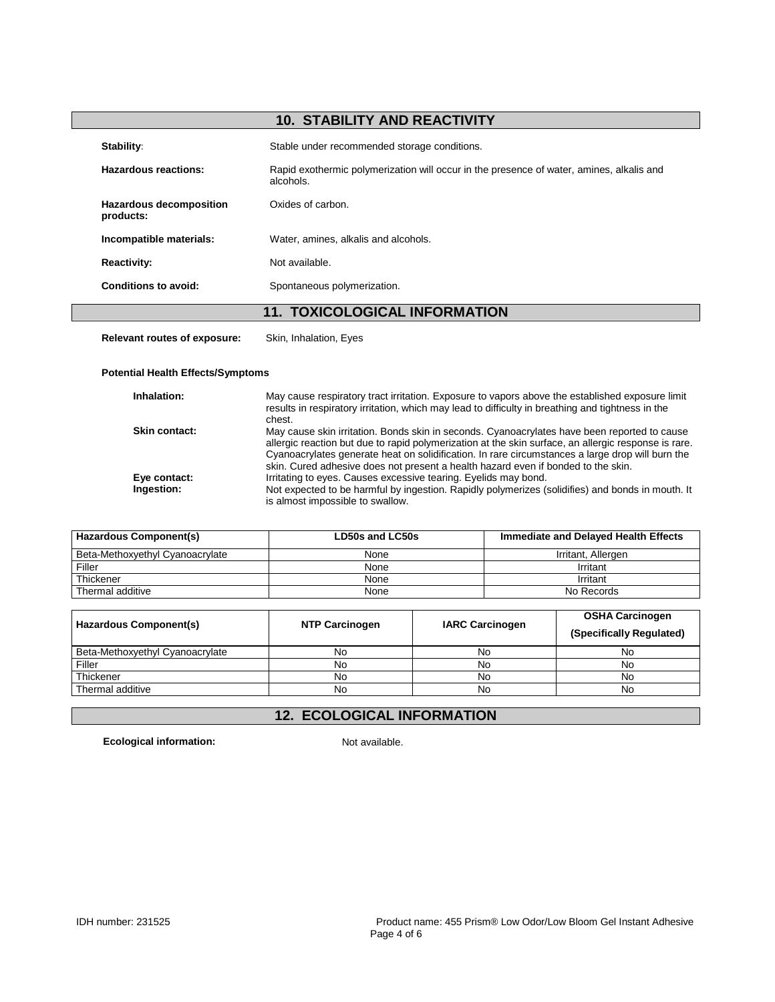# **10. STABILITY AND REACTIVITY**

| Stability:                                  | Stable under recommended storage conditions.                                                          |
|---------------------------------------------|-------------------------------------------------------------------------------------------------------|
| Hazardous reactions:                        | Rapid exothermic polymerization will occur in the presence of water, amines, alkalis and<br>alcohols. |
| <b>Hazardous decomposition</b><br>products: | Oxides of carbon.                                                                                     |
| Incompatible materials:                     | Water, amines, alkalis and alcohols.                                                                  |
| <b>Reactivity:</b>                          | Not available.                                                                                        |
| Conditions to avoid:                        | Spontaneous polymerization.                                                                           |
| <b>11. TOXICOLOGICAL INFORMATION</b>        |                                                                                                       |

**Relevant routes of exposure:** Skin, Inhalation, Eyes

#### **Potential Health Effects/Symptoms**

| Inhalation:          | May cause respiratory tract irritation. Exposure to vapors above the established exposure limit<br>results in respiratory irritation, which may lead to difficulty in breathing and tightness in the<br>chest.                                                                                                                                                                                |
|----------------------|-----------------------------------------------------------------------------------------------------------------------------------------------------------------------------------------------------------------------------------------------------------------------------------------------------------------------------------------------------------------------------------------------|
| <b>Skin contact:</b> | May cause skin irritation. Bonds skin in seconds. Cyanoacrylates have been reported to cause<br>allergic reaction but due to rapid polymerization at the skin surface, an allergic response is rare.<br>Cyanoacrylates generate heat on solidification. In rare circumstances a large drop will burn the<br>skin. Cured adhesive does not present a health hazard even if bonded to the skin. |
| Eye contact:         | Irritating to eyes. Causes excessive tearing. Eyelids may bond.                                                                                                                                                                                                                                                                                                                               |
| Ingestion:           | Not expected to be harmful by ingestion. Rapidly polymerizes (solidifies) and bonds in mouth. It<br>is almost impossible to swallow.                                                                                                                                                                                                                                                          |

| <b>Hazardous Component(s)</b>   | LD50s and LC50s | Immediate and Delayed Health Effects |
|---------------------------------|-----------------|--------------------------------------|
| Beta-Methoxvethyl Cvanoacrylate | None            | Irritant, Allergen                   |
| Filler                          | None            | Irritant                             |
| Thickener                       | None            | Irritant                             |
| Thermal additive                | None            | No Records                           |

| Hazardous Component(s)          | <b>NTP Carcinogen</b> | <b>IARC Carcinogen</b> | <b>OSHA Carcinogen</b><br>(Specifically Regulated) |
|---------------------------------|-----------------------|------------------------|----------------------------------------------------|
| Beta-Methoxyethyl Cyanoacrylate | No                    | No                     | No                                                 |
| Filler                          | No                    | No                     | No                                                 |
| Thickener                       | No                    | No                     | No                                                 |
| Thermal additive                | No                    | No                     | No                                                 |

# **12. ECOLOGICAL INFORMATION**

**Ecological information:** Not available.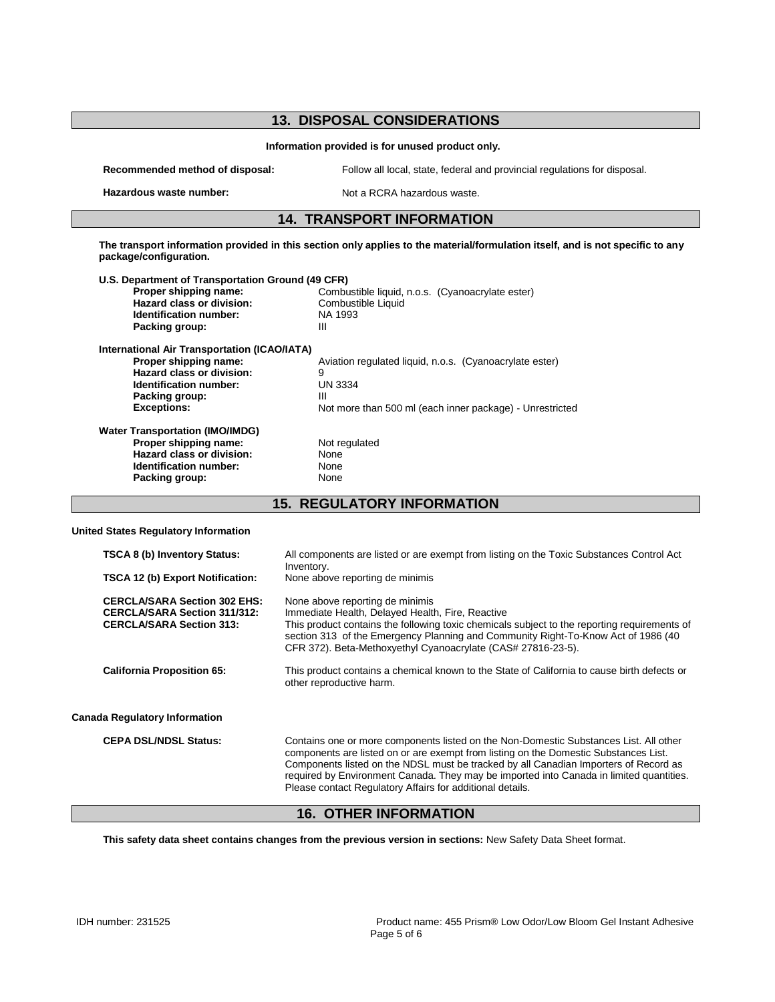| <b>13. DISPOSAL CONSIDERATIONS</b>                                                                           |                                                                                                                                |  |  |
|--------------------------------------------------------------------------------------------------------------|--------------------------------------------------------------------------------------------------------------------------------|--|--|
| Information provided is for unused product only.                                                             |                                                                                                                                |  |  |
| Recommended method of disposal:<br>Follow all local, state, federal and provincial regulations for disposal. |                                                                                                                                |  |  |
| Hazardous waste number:                                                                                      | Not a RCRA hazardous waste.                                                                                                    |  |  |
|                                                                                                              |                                                                                                                                |  |  |
|                                                                                                              | <b>14. TRANSPORT INFORMATION</b>                                                                                               |  |  |
| package/configuration.                                                                                       | The transport information provided in this section only applies to the material/formulation itself, and is not specific to any |  |  |
| U.S. Department of Transportation Ground (49 CFR)                                                            |                                                                                                                                |  |  |
| Proper shipping name:                                                                                        | Combustible liquid, n.o.s. (Cyanoacrylate ester)                                                                               |  |  |
| <b>Hazard class or division:</b>                                                                             | Combustible Liquid                                                                                                             |  |  |
| Identification number:                                                                                       | NA 1993                                                                                                                        |  |  |
| Packing group:                                                                                               | Ш                                                                                                                              |  |  |
| <b>International Air Transportation (ICAO/IATA)</b>                                                          |                                                                                                                                |  |  |
| Proper shipping name:                                                                                        | Aviation regulated liquid, n.o.s. (Cyanoacrylate ester)                                                                        |  |  |
| Hazard class or division:                                                                                    | 9                                                                                                                              |  |  |
| Identification number:                                                                                       | <b>UN 3334</b>                                                                                                                 |  |  |
| Packing group:                                                                                               | Ш                                                                                                                              |  |  |
| <b>Exceptions:</b>                                                                                           | Not more than 500 ml (each inner package) - Unrestricted                                                                       |  |  |
| <b>Water Transportation (IMO/IMDG)</b>                                                                       |                                                                                                                                |  |  |
| Proper shipping name:                                                                                        | Not regulated                                                                                                                  |  |  |
| Hazard class or division:                                                                                    | None                                                                                                                           |  |  |
| Identification number:                                                                                       | None                                                                                                                           |  |  |
| Packing group:                                                                                               | None                                                                                                                           |  |  |
| <b>15. REGULATORY INFORMATION</b>                                                                            |                                                                                                                                |  |  |
| <b>United States Regulatory Information</b>                                                                  |                                                                                                                                |  |  |
| <b>TSCA 8 (b) Inventory Status:</b>                                                                          | All components are listed or are exempt from listing on the Toxic Substances Control Act<br>Inventory.                         |  |  |
| TSCA 12 (b) Export Notification:                                                                             | None above reporting de minimis                                                                                                |  |  |

| <b>CERCLA/SARA Section 302 EHS:</b><br><b>CERCLA/SARA Section 311/312:</b><br><b>CERCLA/SARA Section 313:</b> | None above reporting de minimis<br>Immediate Health, Delayed Health, Fire, Reactive<br>This product contains the following toxic chemicals subject to the reporting requirements of<br>section 313 of the Emergency Planning and Community Right-To-Know Act of 1986 (40<br>CFR 372). Beta-Methoxyethyl Cyanoacrylate (CAS# 27816-23-5).                                                                                      |
|---------------------------------------------------------------------------------------------------------------|-------------------------------------------------------------------------------------------------------------------------------------------------------------------------------------------------------------------------------------------------------------------------------------------------------------------------------------------------------------------------------------------------------------------------------|
| <b>California Proposition 65:</b>                                                                             | This product contains a chemical known to the State of California to cause birth defects or<br>other reproductive harm.                                                                                                                                                                                                                                                                                                       |
| <b>Canada Regulatory Information</b>                                                                          |                                                                                                                                                                                                                                                                                                                                                                                                                               |
| <b>CEPA DSL/NDSL Status:</b>                                                                                  | Contains one or more components listed on the Non-Domestic Substances List. All other<br>components are listed on or are exempt from listing on the Domestic Substances List.<br>Components listed on the NDSL must be tracked by all Canadian Importers of Record as<br>required by Environment Canada. They may be imported into Canada in limited quantities.<br>Please contact Regulatory Affairs for additional details. |

## **16. OTHER INFORMATION**

**This safety data sheet contains changes from the previous version in sections:** New Safety Data Sheet format.